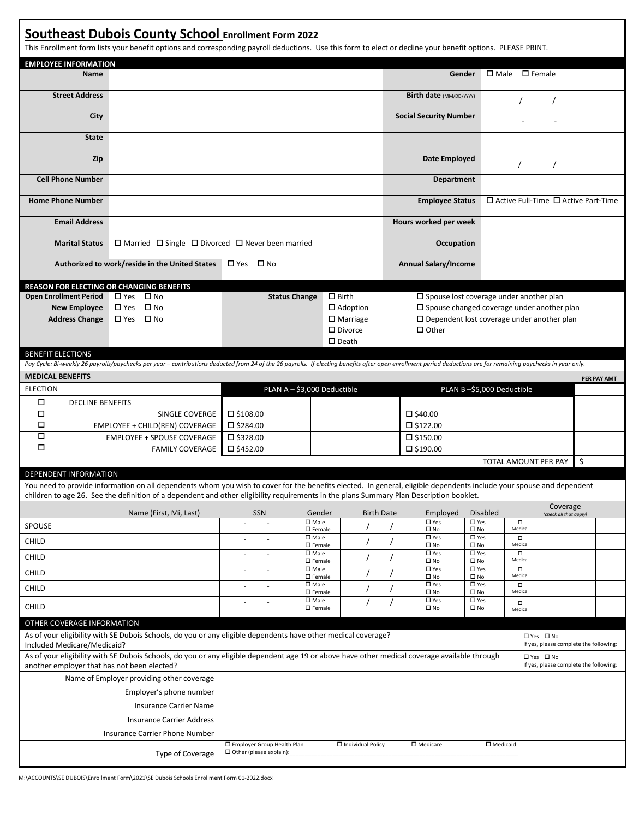## **Southeast Dubois County School Enrollment Form 2022**

This Enrollment form lists your benefit options and corresponding payroll deductions. Use this form to elect or decline your benefit options. PLEASE PRINT.

| <b>EMPLOYEE INFORMATION</b>                                                                                                                                                                                                                          |                                                                                                                                                                                                                                                                                                                 |                      |                                                      |                             |                               |                                                                                 |                                                   |                                                      |                                                      |  |                                    |             |
|------------------------------------------------------------------------------------------------------------------------------------------------------------------------------------------------------------------------------------------------------|-----------------------------------------------------------------------------------------------------------------------------------------------------------------------------------------------------------------------------------------------------------------------------------------------------------------|----------------------|------------------------------------------------------|-----------------------------|-------------------------------|---------------------------------------------------------------------------------|---------------------------------------------------|------------------------------------------------------|------------------------------------------------------|--|------------------------------------|-------------|
| <b>Name</b>                                                                                                                                                                                                                                          |                                                                                                                                                                                                                                                                                                                 |                      |                                                      |                             |                               |                                                                                 | Gender                                            |                                                      | $\Box$ Male $\Box$ Female                            |  |                                    |             |
| <b>Street Address</b>                                                                                                                                                                                                                                |                                                                                                                                                                                                                                                                                                                 |                      |                                                      |                             |                               |                                                                                 | Birth date (MM/DD/YYYY)                           |                                                      |                                                      |  |                                    |             |
| City                                                                                                                                                                                                                                                 |                                                                                                                                                                                                                                                                                                                 |                      |                                                      |                             | <b>Social Security Number</b> |                                                                                 |                                                   |                                                      |                                                      |  |                                    |             |
| <b>State</b>                                                                                                                                                                                                                                         |                                                                                                                                                                                                                                                                                                                 |                      |                                                      |                             |                               |                                                                                 |                                                   |                                                      |                                                      |  |                                    |             |
| Zip                                                                                                                                                                                                                                                  |                                                                                                                                                                                                                                                                                                                 |                      |                                                      |                             |                               | Date Employed<br>7                                                              |                                                   |                                                      |                                                      |  |                                    |             |
| <b>Cell Phone Number</b>                                                                                                                                                                                                                             |                                                                                                                                                                                                                                                                                                                 |                      |                                                      |                             |                               |                                                                                 | <b>Department</b>                                 |                                                      |                                                      |  |                                    |             |
| <b>Home Phone Number</b>                                                                                                                                                                                                                             |                                                                                                                                                                                                                                                                                                                 |                      |                                                      |                             |                               | $\square$ Active Full-Time $\square$ Active Part-Time<br><b>Employee Status</b> |                                                   |                                                      |                                                      |  |                                    |             |
| <b>Email Address</b>                                                                                                                                                                                                                                 |                                                                                                                                                                                                                                                                                                                 |                      |                                                      |                             |                               | Hours worked per week                                                           |                                                   |                                                      |                                                      |  |                                    |             |
| <b>Marital Status</b>                                                                                                                                                                                                                                | $\Box$ Married $\Box$ Single $\Box$ Divorced $\Box$ Never been married                                                                                                                                                                                                                                          |                      |                                                      |                             |                               | <b>Occupation</b>                                                               |                                                   |                                                      |                                                      |  |                                    |             |
|                                                                                                                                                                                                                                                      | Authorized to work/reside in the United States<br>$\Box$ Yes $\Box$ No                                                                                                                                                                                                                                          |                      |                                                      |                             |                               | <b>Annual Salary/Income</b>                                                     |                                                   |                                                      |                                                      |  |                                    |             |
| <b>REASON FOR ELECTING OR CHANGING BENEFITS</b>                                                                                                                                                                                                      |                                                                                                                                                                                                                                                                                                                 |                      |                                                      |                             |                               |                                                                                 |                                                   |                                                      |                                                      |  |                                    |             |
| <b>Open Enrollment Period</b>                                                                                                                                                                                                                        | □ Yes □ No                                                                                                                                                                                                                                                                                                      | <b>Status Change</b> |                                                      | $\square$ Birth             |                               |                                                                                 | $\square$ Spouse lost coverage under another plan |                                                      |                                                      |  |                                    |             |
| <b>New Employee</b>                                                                                                                                                                                                                                  | □ Yes □ No                                                                                                                                                                                                                                                                                                      | $\Box$ Adoption      |                                                      |                             |                               |                                                                                 |                                                   | $\square$ Spouse changed coverage under another plan |                                                      |  |                                    |             |
| <b>Address Change</b>                                                                                                                                                                                                                                | $\Box$ Yes $\Box$ No                                                                                                                                                                                                                                                                                            |                      |                                                      | $\Box$ Marriage             |                               |                                                                                 |                                                   |                                                      | $\square$ Dependent lost coverage under another plan |  |                                    |             |
|                                                                                                                                                                                                                                                      |                                                                                                                                                                                                                                                                                                                 |                      |                                                      | $\square$ Divorce           |                               |                                                                                 | $\Box$ Other                                      |                                                      |                                                      |  |                                    |             |
|                                                                                                                                                                                                                                                      |                                                                                                                                                                                                                                                                                                                 |                      |                                                      | $\square$ Death             |                               |                                                                                 |                                                   |                                                      |                                                      |  |                                    |             |
| <b>BENEFIT ELECTIONS</b>                                                                                                                                                                                                                             |                                                                                                                                                                                                                                                                                                                 |                      |                                                      |                             |                               |                                                                                 |                                                   |                                                      |                                                      |  |                                    |             |
|                                                                                                                                                                                                                                                      | Pay Cycle: Bi-weekly 26 payrolls/paychecks per year - contributions deducted from 24 of the 26 payrolls. If electing benefits after open enrollment period deductions are for remaining paychecks in year only.                                                                                                 |                      |                                                      |                             |                               |                                                                                 |                                                   |                                                      |                                                      |  |                                    |             |
| <b>MEDICAL BENEFITS</b>                                                                                                                                                                                                                              |                                                                                                                                                                                                                                                                                                                 |                      |                                                      |                             |                               |                                                                                 |                                                   |                                                      |                                                      |  |                                    |             |
| <b>ELECTION</b>                                                                                                                                                                                                                                      |                                                                                                                                                                                                                                                                                                                 |                      |                                                      | PLAN A - \$3,000 Deductible |                               |                                                                                 |                                                   |                                                      | PLAN B-\$5,000 Deductible                            |  |                                    | PER PAY AMT |
|                                                                                                                                                                                                                                                      |                                                                                                                                                                                                                                                                                                                 |                      |                                                      |                             |                               |                                                                                 |                                                   |                                                      |                                                      |  |                                    |             |
| П<br><b>DECLINE BENEFITS</b>                                                                                                                                                                                                                         |                                                                                                                                                                                                                                                                                                                 |                      |                                                      |                             |                               |                                                                                 |                                                   |                                                      |                                                      |  |                                    |             |
| □                                                                                                                                                                                                                                                    | SINGLE COVERGE                                                                                                                                                                                                                                                                                                  | $\square$ \$108.00   |                                                      |                             |                               |                                                                                 | $\square$ \$40.00                                 |                                                      |                                                      |  |                                    |             |
| $\Box$                                                                                                                                                                                                                                               | EMPLOYEE + CHILD(REN) COVERAGE                                                                                                                                                                                                                                                                                  |                      | $\square$ \$284.00                                   |                             |                               | $\square$ \$122.00                                                              |                                                   |                                                      |                                                      |  |                                    |             |
| □                                                                                                                                                                                                                                                    | <b>EMPLOYEE + SPOUSE COVERAGE</b>                                                                                                                                                                                                                                                                               | □ \$328.00           |                                                      |                             | $\square$ \$150.00            |                                                                                 |                                                   |                                                      |                                                      |  |                                    |             |
| $\Box$                                                                                                                                                                                                                                               | <b>FAMILY COVERAGE</b>                                                                                                                                                                                                                                                                                          | $\square$ \$452.00   |                                                      |                             |                               |                                                                                 | $\square$ \$190.00                                |                                                      |                                                      |  |                                    |             |
|                                                                                                                                                                                                                                                      |                                                                                                                                                                                                                                                                                                                 |                      |                                                      |                             |                               |                                                                                 |                                                   |                                                      | TOTAL AMOUNT PER PAY                                 |  | \$                                 |             |
| <b>DEPENDENT INFORMATION</b>                                                                                                                                                                                                                         |                                                                                                                                                                                                                                                                                                                 |                      |                                                      |                             |                               |                                                                                 |                                                   |                                                      |                                                      |  |                                    |             |
|                                                                                                                                                                                                                                                      | You need to provide information on all dependents whom you wish to cover for the benefits elected. In general, eligible dependents include your spouse and dependent<br>children to age 26. See the definition of a dependent and other eligibility requirements in the plans Summary Plan Description booklet. |                      |                                                      |                             |                               |                                                                                 |                                                   |                                                      |                                                      |  |                                    |             |
|                                                                                                                                                                                                                                                      | Name (First, Mi, Last)                                                                                                                                                                                                                                                                                          | SSN                  | Gender                                               |                             | <b>Birth Date</b>             |                                                                                 | Employed                                          | <b>Disabled</b>                                      |                                                      |  | Coverage<br>(check all that apply) |             |
| SPOUSE                                                                                                                                                                                                                                               |                                                                                                                                                                                                                                                                                                                 |                      | $\square$ Male<br>$\square$ Female                   |                             |                               |                                                                                 | $\square$ Yes<br>$\square$ No                     | $\square$ Yes<br>$\square$ No                        | $\Box$<br>Medical                                    |  |                                    |             |
| CHILD                                                                                                                                                                                                                                                |                                                                                                                                                                                                                                                                                                                 |                      | $\square$ Male<br>$\square$ Female<br>$\square$ Male |                             |                               |                                                                                 | $\square$ Yes<br>$\square$ No<br>$\square$ Yes    | $\square$ Yes<br>$\square$ No<br>$\square$ Yes       | $\Box$<br>Medical<br>$\Box$                          |  |                                    |             |
| CHILD                                                                                                                                                                                                                                                |                                                                                                                                                                                                                                                                                                                 |                      | $\square$ Female                                     |                             |                               |                                                                                 | $\square$ No                                      | $\square$ No                                         | Medical                                              |  |                                    |             |
| CHILD                                                                                                                                                                                                                                                |                                                                                                                                                                                                                                                                                                                 | $\sim$               | $\square$ Male<br>$\square$ Female<br>$\square$ Male |                             |                               |                                                                                 | $\square$ Yes<br>$\square$ No<br>$\square$ Yes    | $\square$ Yes<br>$\square$ No<br>$\square$ Yes       | $\Box$<br>Medical                                    |  |                                    |             |
| CHILD                                                                                                                                                                                                                                                |                                                                                                                                                                                                                                                                                                                 |                      | $\square$ Female                                     |                             |                               |                                                                                 | $\square$ No                                      | $\square$ No                                         | $\Box$<br>Medical                                    |  |                                    |             |
| CHILD                                                                                                                                                                                                                                                |                                                                                                                                                                                                                                                                                                                 |                      | $\square$ Male<br>$\square$ Female                   |                             |                               |                                                                                 | $\square$ Yes<br>$\square$ No                     | $\square$ Yes<br>$\square$ No                        | $\Box$<br>Medical                                    |  |                                    |             |
| OTHER COVERAGE INFORMATION                                                                                                                                                                                                                           |                                                                                                                                                                                                                                                                                                                 |                      |                                                      |                             |                               |                                                                                 |                                                   |                                                      |                                                      |  |                                    |             |
| As of your eligibility with SE Dubois Schools, do you or any eligible dependents have other medical coverage?<br>□ Yes □ No<br>If yes, please complete the following:<br>Included Medicare/Medicaid?                                                 |                                                                                                                                                                                                                                                                                                                 |                      |                                                      |                             |                               |                                                                                 |                                                   |                                                      |                                                      |  |                                    |             |
| As of your eligibility with SE Dubois Schools, do you or any eligible dependent age 19 or above have other medical coverage available through<br>□ Yes □ No<br>If yes, please complete the following:<br>another employer that has not been elected? |                                                                                                                                                                                                                                                                                                                 |                      |                                                      |                             |                               |                                                                                 |                                                   |                                                      |                                                      |  |                                    |             |
|                                                                                                                                                                                                                                                      | Name of Employer providing other coverage                                                                                                                                                                                                                                                                       |                      |                                                      |                             |                               |                                                                                 |                                                   |                                                      |                                                      |  |                                    |             |
|                                                                                                                                                                                                                                                      | Employer's phone number                                                                                                                                                                                                                                                                                         |                      |                                                      |                             |                               |                                                                                 |                                                   |                                                      |                                                      |  |                                    |             |
|                                                                                                                                                                                                                                                      | <b>Insurance Carrier Name</b>                                                                                                                                                                                                                                                                                   |                      |                                                      |                             |                               |                                                                                 |                                                   |                                                      |                                                      |  |                                    |             |
|                                                                                                                                                                                                                                                      |                                                                                                                                                                                                                                                                                                                 |                      |                                                      |                             |                               |                                                                                 |                                                   |                                                      |                                                      |  |                                    |             |
|                                                                                                                                                                                                                                                      | <b>Insurance Carrier Address</b>                                                                                                                                                                                                                                                                                |                      |                                                      |                             |                               |                                                                                 |                                                   |                                                      |                                                      |  |                                    |             |
|                                                                                                                                                                                                                                                      | Insurance Carrier Phone Number                                                                                                                                                                                                                                                                                  |                      |                                                      |                             |                               |                                                                                 |                                                   |                                                      |                                                      |  |                                    |             |
| □ Employer Group Health Plan<br>□ Individual Policy<br>□ Medicare<br>$\square$ Medicaid<br>$\Box$ Other (please explain):<br>Type of Coverage                                                                                                        |                                                                                                                                                                                                                                                                                                                 |                      |                                                      |                             |                               |                                                                                 |                                                   |                                                      |                                                      |  |                                    |             |

M:\ACCOUNTS\SE DUBOIS\Enrollment Form\2021\SE Dubois Schools Enrollment Form 01-2022.docx